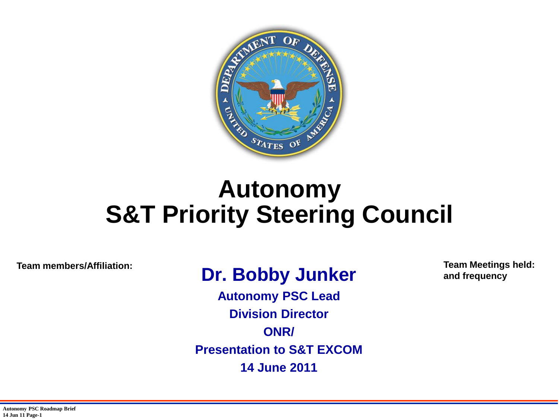

#### **Autonomy S&T Priority Steering Council**

**Team members/Affiliation: Team Meetings held:** 

#### **Dr. Bobby Junker**

**Autonomy PSC Lead Division Director ONR/ Presentation to S&T EXCOM 14 June 2011** 

**and frequency**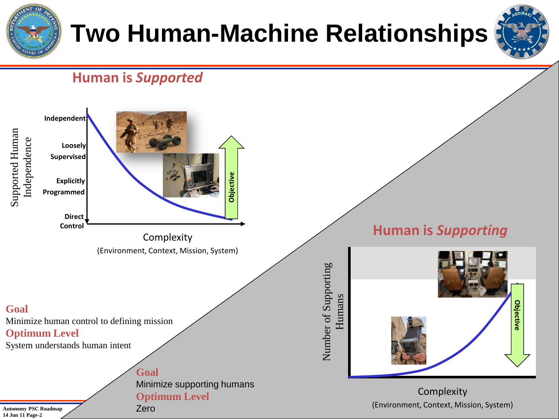

**Autonomy PSC Roadmap 14 Jun 11 Page-2**

Zero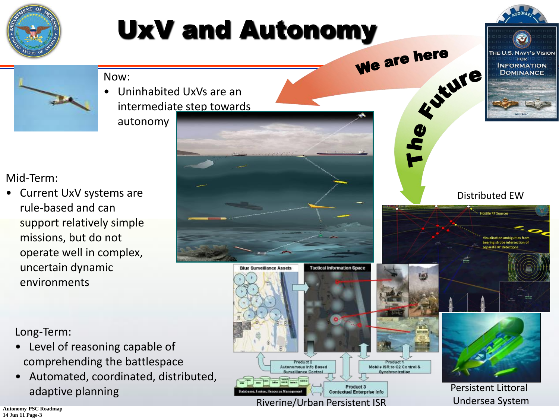

Riverine/Urban Persistent ISR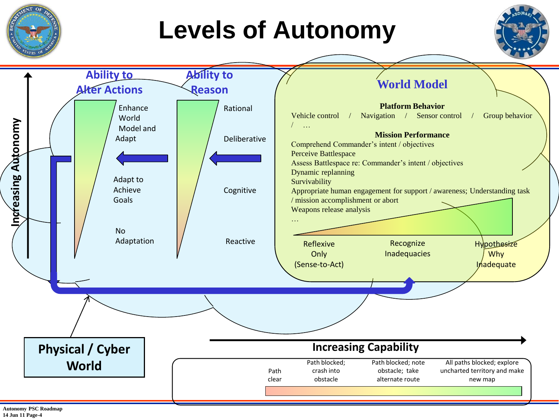

**Autonomy PSC Roadmap 14 Jun 11 Page-4**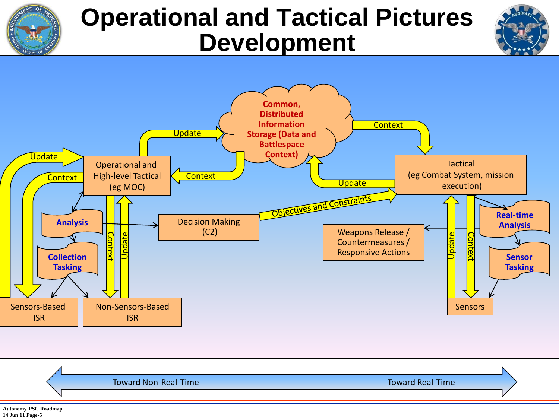

### **Operational and Tactical Pictures Development**





Toward Non-Real-Time Toward Real-Time

**Autonomy PSC Roadmap 14 Jun 11 Page-5**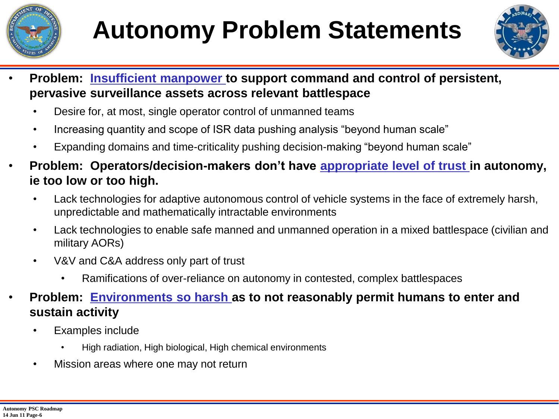



- Problem: **Insufficient manpower to support command and control of persistent, pervasive surveillance assets across relevant battlespace**
	- Desire for, at most, single operator control of unmanned teams
	- Increasing quantity and scope of ISR data pushing analysis "beyond human scale"
	- Expanding domains and time-criticality pushing decision-making "beyond human scale"
- **Problem: Operators/decision-makers don't have appropriate level of trust in autonomy, ie too low or too high.**
	- Lack technologies for adaptive autonomous control of vehicle systems in the face of extremely harsh, unpredictable and mathematically intractable environments
	- Lack technologies to enable safe manned and unmanned operation in a mixed battlespace (civilian and military AORs)
	- V&V and C&A address only part of trust
		- Ramifications of over-reliance on autonomy in contested, complex battlespaces
- **Problem: Environments so harsh as to not reasonably permit humans to enter and sustain activity**
	- Examples include
		- High radiation, High biological, High chemical environments
	- Mission areas where one may not return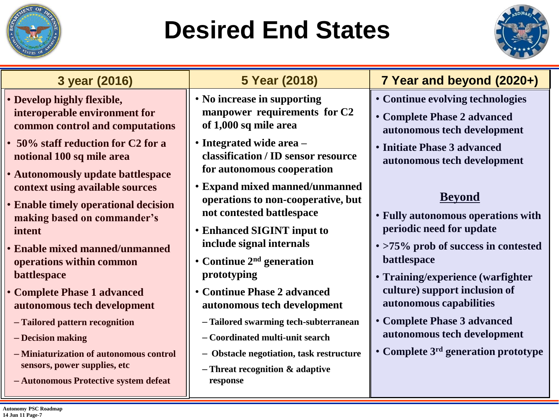

# **Desired End States**



| 3 year (2016)                                                                                                    | 5 Year (2018)                                                                                     | 7 Year and beyond (2020+)                                  |  |  |  |
|------------------------------------------------------------------------------------------------------------------|---------------------------------------------------------------------------------------------------|------------------------------------------------------------|--|--|--|
| • Develop highly flexible,                                                                                       | • No increase in supporting                                                                       | • Continue evolving technologies                           |  |  |  |
| interoperable environment for                                                                                    | manpower requirements for C2                                                                      | • Complete Phase 2 advanced                                |  |  |  |
| common control and computations                                                                                  | of 1,000 sq mile area                                                                             | autonomous tech development                                |  |  |  |
| • 50% staff reduction for C2 for a<br>notional 100 sq mile area<br><b>• Autonomously update battlespace</b>      | • Integrated wide area -<br>classification / ID sensor resource<br>for autonomous cooperation     | • Initiate Phase 3 advanced<br>autonomous tech development |  |  |  |
| context using available sources<br><b>• Enable timely operational decision</b><br>making based on commander's    | • Expand mixed manned/unmanned<br>operations to non-cooperative, but<br>not contested battlespace | <b>Beyond</b><br>• Fully autonomous operations with        |  |  |  |
| intent                                                                                                           | <b>• Enhanced SIGINT input to</b>                                                                 | periodic need for update                                   |  |  |  |
| <b>• Enable mixed manned/unmanned</b>                                                                            | include signal internals                                                                          | • >75% prob of success in contested                        |  |  |  |
| operations within common                                                                                         | • Continue $2nd$ generation                                                                       | battlespace                                                |  |  |  |
| battlespace                                                                                                      | prototyping                                                                                       | • Training/experience (warfighter                          |  |  |  |
| • Complete Phase 1 advanced                                                                                      | • Continue Phase 2 advanced                                                                       | culture) support inclusion of                              |  |  |  |
| autonomous tech development                                                                                      | autonomous tech development                                                                       | autonomous capabilities                                    |  |  |  |
| - Tailored pattern recognition                                                                                   | - Tailored swarming tech-subterranean                                                             | • Complete Phase 3 advanced                                |  |  |  |
| - Decision making                                                                                                | - Coordinated multi-unit search                                                                   | autonomous tech development                                |  |  |  |
| - Miniaturization of autonomous control<br>sensors, power supplies, etc<br>- Autonomous Protective system defeat | - Obstacle negotiation, task restructure<br>$-$ Threat recognition $\&$ adaptive<br>response      | • Complete 3 <sup>rd</sup> generation prototype            |  |  |  |

**Autonomy PSC Roadmap 14 Jun 11 Page-7**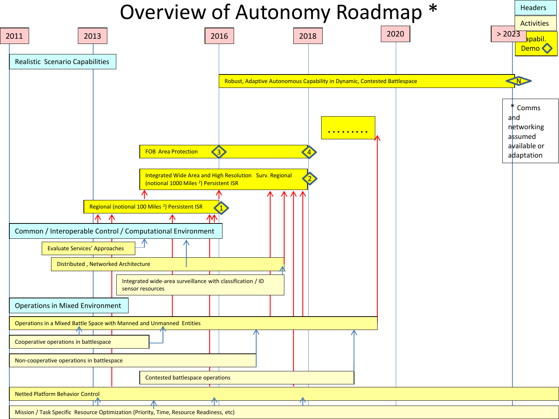